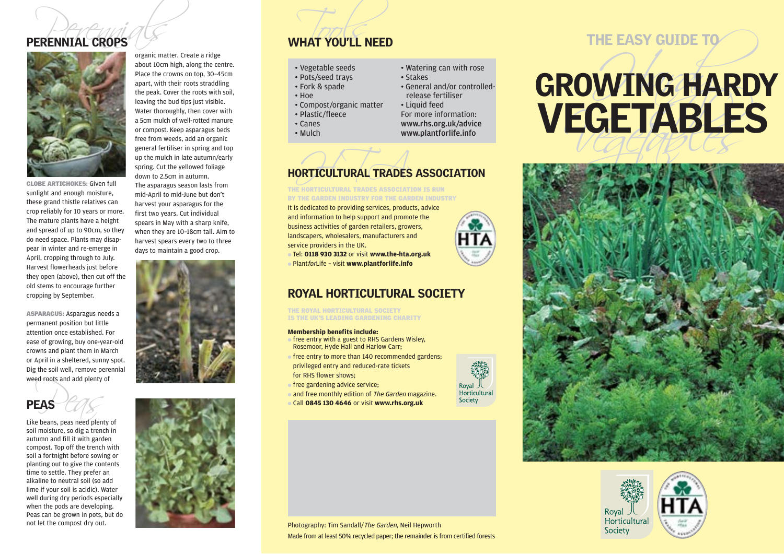# PERENNIAL CROPS



organic matter. Create a ridge about 10cm high, along the centre. Place the crowns on top, 30–45cm apart, with their roots straddling the peak. Cover the roots with soil, leaving the bud tips just visible. Water thoroughly, then cover with a 5cm mulch of well-rotted manure or compost. Keep asparagus beds free from weeds, add an organic general fertiliser in spring and top up the mulch in late autumn/early spring. Cut the yellowed foliage

GLOBE ARTICHOKES: Given full sunlight and enough moisture, these grand thistle relatives can crop reliably for 10 years or more. The mature plants have a height and spread of up to 90cm, so they do need space. Plants may disappear in winter and re-emerge in April, cropping through to July. Harvest flowerheads just before they open (above), then cut off the old stems to encourage further cropping by September.

ASPARAGUS: Asparagus needs a permanent position but little attention once established. For ease of growing, buy one-year-old crowns and plant them in March or April in a sheltered, sunny spot. Dig the soil well, remove perennial weed roots and add plenty of

Weed Foots and add plenty of<br> **PEAS** Pears, peas need plenty of soil moisture, so dig a trench in autumn and fill it with garden compost. Top off the trench with soil a fortnight before sowing or planting out to give the contents time to settle. They prefer an alkaline to neutral soil (so add lime if your soil is acidic). Water well during dry periods especially when the pods are developing. Peas can be grown in pots, but do not let the compost dry out.

down to 2.5cm in autumn.

The asparagus season lasts from mid-April to mid-June but don't harvest your asparagus for the first two years. Cut individual spears in May with a sharp knife, when they are 10–18cm tall. Aim to harvest spears every two to three days to maintain a good crop.





- 
- 
- 
- 
- 
- 
- 
- 
- 
- 
- 
- 

# HORTICULTURAL TRADES ASSOCIATION

THE HORTICULTURAL TRADES ASSOCIATION IS RUN BY THE GARDEN INDUSTRY FOR THE GARDEN INDUSTRY

It is dedicated to providing services, products, advice and information to help support and promote the business activities of garden retailers, growers, landscapers, wholesalers, manufacturers and service providers in the UK.

● Tel: **0118 930 3132** or visit **www.the-hta.org.uk** ● PlantforLife – visit **www.plantforlife.info**

## ROYAL HORTICULTURAL SOCIETY

THE ROYAL HORTICULTURAL SOCIETY IS THE UK'S LEADING GARDENING CHARITY

## **Membership benefits include:**

- free entry with a guest to RHS Gardens Wisley. Rosemoor, Hyde Hall and Harlow Carr;
- $\bullet$  free entry to more than 140 recommended gardens; privileged entry and reduced-rate tickets for RHS flower shows;
- free gardening advice service;
- and free monthly edition of The Garden magazine.
- Call **0845 130 4646** or visit **www.rhs.org.uk**



# WHAT YOU'LL NEED<br>
THE EASY GUIDE TO<br>
THE EASY GUIDE TO<br>
THE EASY GUIDE TO<br>
THE EASY GUIDE TO<br>
THE EASY GUIDE TO<br>
THE EASY GUIDE TO<br>
THE EASY GUIDE TO<br>
THE EASY GUIDE TO<br>
THE EASY GUIDE TO<br>
THE EASY GUIDE TO<br>
THE EASY GUIDE





Photography: Tim Sandall/The Garden, Neil Hepworth Made from at least 50% recycled paper; the remainder is from certified forests

Royal 人<br>Horticultural Society